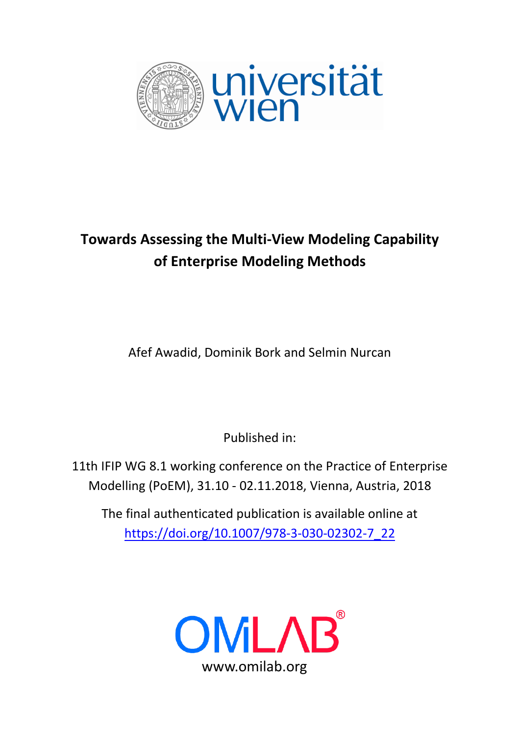

# **Towards Assessing the Multi-View Modeling Capability of Enterprise Modeling Methods**

Afef Awadid, Dominik Bork and Selmin Nurcan

Published in:

11th IFIP WG 8.1 working conference on the Practice of Enterprise Modelling (PoEM), 31.10 - 02.11.2018, Vienna, Austria, 2018

The final authenticated publication is available online at h[ttps://doi.org/10.1007/978-3-030-02302-7](https://doi.org/10.1007/978-3-030-02302-7_22)\_22

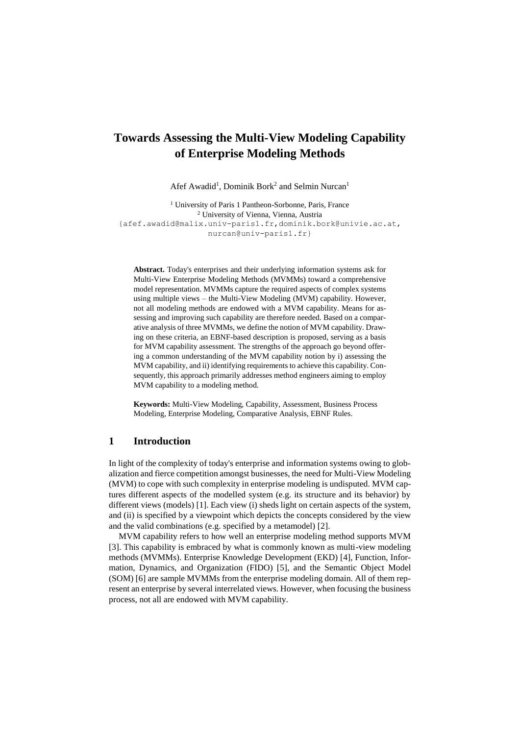# **Towards Assessing the Multi-View Modeling Capability of Enterprise Modeling Methods**

Afef Awadid<sup>1</sup>, Dominik Bork<sup>2</sup> and Selmin Nurcan<sup>1</sup>

<sup>1</sup> University of Paris 1 Pantheon-Sorbonne, Paris, France <sup>2</sup> University of Vienna, Vienna, Austria {afef.awadid@malix.univ-paris1.fr[,dominik.bork@univie.ac.at,](mailto:dominik.bork@univie.ac.at) [nurcan@univ-paris1.fr}](mailto:nurcan@univ-paris1.fr)

**Abstract.** Today's enterprises and their underlying information systems ask for Multi-View Enterprise Modeling Methods (MVMMs) toward a comprehensive model representation. MVMMs capture the required aspects of complex systems using multiple views – the Multi-View Modeling (MVM) capability. However, not all modeling methods are endowed with a MVM capability. Means for assessing and improving such capability are therefore needed. Based on a comparative analysis of three MVMMs, we define the notion of MVM capability. Drawing on these criteria, an EBNF-based description is proposed, serving as a basis for MVM capability assessment. The strengths of the approach go beyond offering a common understanding of the MVM capability notion by i) assessing the MVM capability, and ii) identifying requirements to achieve this capability. Consequently, this approach primarily addresses method engineers aiming to employ MVM capability to a modeling method.

**Keywords:** Multi-View Modeling, Capability, Assessment, Business Process Modeling, Enterprise Modeling, Comparative Analysis, EBNF Rules.

#### **1 Introduction**

In light of the complexity of today's enterprise and information systems owing to globalization and fierce competition amongst businesses, the need for Multi-View Modeling (MVM) to cope with such complexity in enterprise modeling is undisputed. MVM captures different aspects of the modelled system (e.g. its structure and its behavior) by different views (models) [1]. Each view (i) sheds light on certain aspects of the system, and (ii) is specified by a viewpoint which depicts the concepts considered by the view and the valid combinations (e.g. specified by a metamodel) [2].

MVM capability refers to how well an enterprise modeling method supports MVM [3]. This capability is embraced by what is commonly known as multi-view modeling methods (MVMMs). Enterprise Knowledge Development (EKD) [4], Function, Information, Dynamics, and Organization (FIDO) [5], and the Semantic Object Model (SOM) [6] are sample MVMMs from the enterprise modeling domain. All of them represent an enterprise by several interrelated views. However, when focusing the business process, not all are endowed with MVM capability.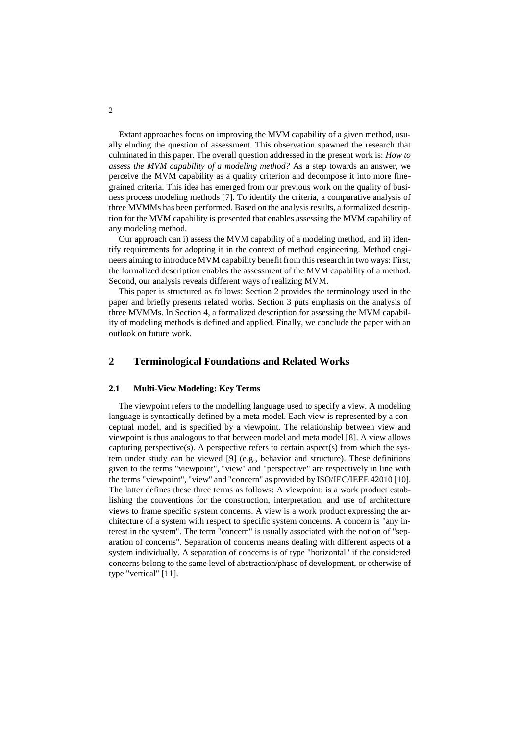Extant approaches focus on improving the MVM capability of a given method, usually eluding the question of assessment. This observation spawned the research that culminated in this paper. The overall question addressed in the present work is: *How to assess the MVM capability of a modeling method?* As a step towards an answer, we perceive the MVM capability as a quality criterion and decompose it into more finegrained criteria. This idea has emerged from our previous work on the quality of business process modeling methods [7]. To identify the criteria, a comparative analysis of three MVMMs has been performed. Based on the analysis results, a formalized description for the MVM capability is presented that enables assessing the MVM capability of any modeling method.

Our approach can i) assess the MVM capability of a modeling method, and ii) identify requirements for adopting it in the context of method engineering. Method engineers aiming to introduce MVM capability benefit from this research in two ways: First, the formalized description enables the assessment of the MVM capability of a method. Second, our analysis reveals different ways of realizing MVM.

This paper is structured as follows: Section 2 provides the terminology used in the paper and briefly presents related works. Section 3 puts emphasis on the analysis of three MVMMs. In Section 4, a formalized description for assessing the MVM capability of modeling methods is defined and applied. Finally, we conclude the paper with an outlook on future work.

# **2 Terminological Foundations and Related Works**

#### **2.1 Multi-View Modeling: Key Terms**

The viewpoint refers to the modelling language used to specify a view. A modeling language is syntactically defined by a meta model. Each view is represented by a conceptual model, and is specified by a viewpoint. The relationship between view and viewpoint is thus analogous to that between model and meta model [8]. A view allows capturing perspective(s). A perspective refers to certain aspect(s) from which the system under study can be viewed [9] (e.g., behavior and structure). These definitions given to the terms "viewpoint", "view" and "perspective" are respectively in line with the terms "viewpoint", "view" and "concern" as provided by ISO/IEC/IEEE 42010 [10]. The latter defines these three terms as follows: A viewpoint: is a work product establishing the conventions for the construction, interpretation, and use of architecture views to frame specific system concerns. A view is a work product expressing the architecture of a system with respect to specific system concerns. A concern is "any interest in the system". The term "concern" is usually associated with the notion of "separation of concerns". Separation of concerns means dealing with different aspects of a system individually. A separation of concerns is of type "horizontal" if the considered concerns belong to the same level of abstraction/phase of development, or otherwise of type "vertical" [11].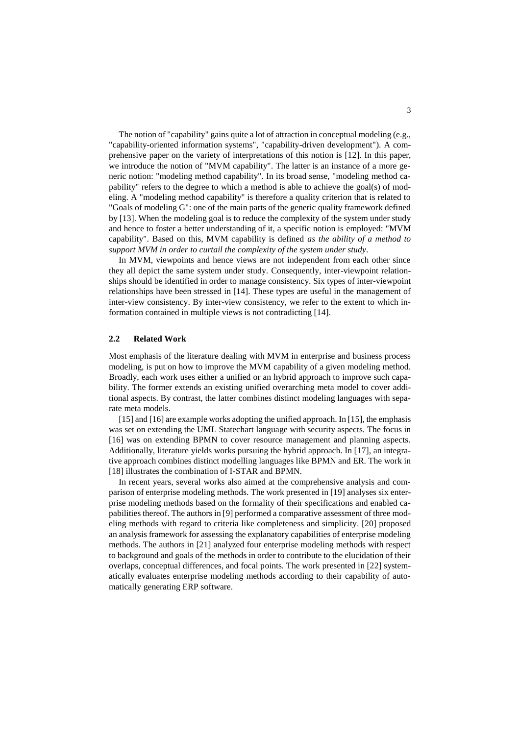The notion of "capability" gains quite a lot of attraction in conceptual modeling (e.g., "capability-oriented information systems", "capability-driven development"). A comprehensive paper on the variety of interpretations of this notion is [12]. In this paper, we introduce the notion of "MVM capability". The latter is an instance of a more generic notion: "modeling method capability". In its broad sense, "modeling method capability" refers to the degree to which a method is able to achieve the goal(s) of modeling. A "modeling method capability" is therefore a quality criterion that is related to "Goals of modeling G": one of the main parts of the generic quality framework defined by [13]. When the modeling goal is to reduce the complexity of the system under study and hence to foster a better understanding of it, a specific notion is employed: "MVM capability". Based on this, MVM capability is defined *as the ability of a method to support MVM in order to curtail the complexity of the system under study*.

In MVM, viewpoints and hence views are not independent from each other since they all depict the same system under study. Consequently, inter-viewpoint relationships should be identified in order to manage consistency. Six types of inter-viewpoint relationships have been stressed in [14]. These types are useful in the management of inter-view consistency. By inter-view consistency, we refer to the extent to which information contained in multiple views is not contradicting [14].

#### **2.2 Related Work**

Most emphasis of the literature dealing with MVM in enterprise and business process modeling, is put on how to improve the MVM capability of a given modeling method. Broadly, each work uses either a unified or an hybrid approach to improve such capability. The former extends an existing unified overarching meta model to cover additional aspects. By contrast, the latter combines distinct modeling languages with separate meta models.

[15] and [16] are example works adopting the unified approach. In [15], the emphasis was set on extending the UML Statechart language with security aspects. The focus in [16] was on extending BPMN to cover resource management and planning aspects. Additionally, literature yields works pursuing the hybrid approach. In [17], an integrative approach combines distinct modelling languages like BPMN and ER. The work in [18] illustrates the combination of I-STAR and BPMN.

In recent years, several works also aimed at the comprehensive analysis and comparison of enterprise modeling methods. The work presented in [19] analyses six enterprise modeling methods based on the formality of their specifications and enabled capabilities thereof. The authors in [9] performed a comparative assessment of three modeling methods with regard to criteria like completeness and simplicity. [20] proposed an analysis framework for assessing the explanatory capabilities of enterprise modeling methods. The authors in [21] analyzed four enterprise modeling methods with respect to background and goals of the methods in order to contribute to the elucidation of their overlaps, conceptual differences, and focal points. The work presented in [22] systematically evaluates enterprise modeling methods according to their capability of automatically generating ERP software.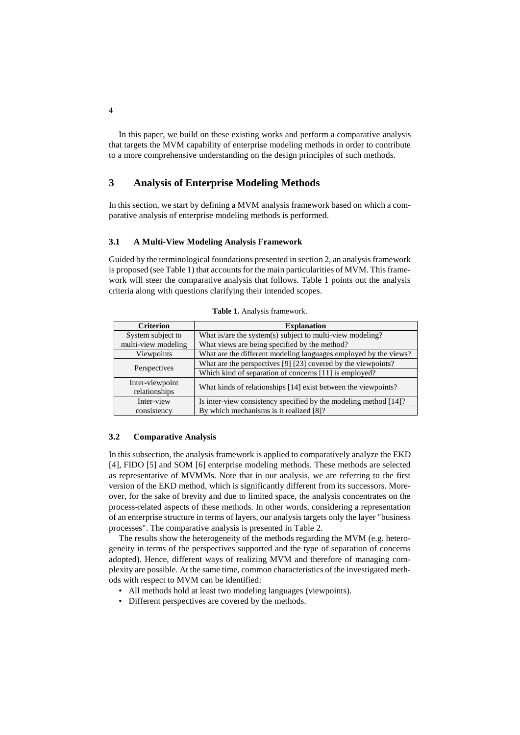In this paper, we build on these existing works and perform a comparative analysis that targets the MVM capability of enterprise modeling methods in order to contribute to a more comprehensive understanding on the design principles of such methods.

# **3 Analysis of Enterprise Modeling Methods**

In this section, we start by defining a MVM analysis framework based on which a comparative analysis of enterprise modeling methods is performed.

#### **3.1 A Multi-View Modeling Analysis Framework**

Guided by the terminological foundations presented in section 2, an analysis framework is proposed (see Table 1) that accounts for the main particularities of MVM. This framework will steer the comparative analysis that follows. Table 1 points out the analysis criteria along with questions clarifying their intended scopes.

| <b>Criterion</b>    | <b>Explanation</b>                                               |  |
|---------------------|------------------------------------------------------------------|--|
| System subject to   | What is/are the system(s) subject to multi-view modeling?        |  |
| multi-view modeling | What views are being specified by the method?                    |  |
| Viewpoints          | What are the different modeling languages employed by the views? |  |
|                     | What are the perspectives [9] [23] covered by the viewpoints?    |  |
| Perspectives        | Which kind of separation of concerns [11] is employed?           |  |
| Inter-viewpoint     | What kinds of relationships [14] exist between the viewpoints?   |  |
| relationships       |                                                                  |  |
| Inter-view          | Is inter-view consistency specified by the modeling method [14]? |  |
| consistency         | By which mechanisms is it realized [8]?                          |  |

**Table 1.** Analysis framework.

#### **3.2 Comparative Analysis**

In this subsection, the analysis framework is applied to comparatively analyze the EKD [4], FIDO [5] and SOM [6] enterprise modeling methods. These methods are selected as representative of MVMMs. Note that in our analysis, we are referring to the first version of the EKD method, which is significantly different from its successors. Moreover, for the sake of brevity and due to limited space, the analysis concentrates on the process-related aspects of these methods. In other words, considering a representation of an enterprise structure in terms of layers, our analysis targets only the layer "business processes". The comparative analysis is presented in Table 2.

The results show the heterogeneity of the methods regarding the MVM (e.g. heterogeneity in terms of the perspectives supported and the type of separation of concerns adopted). Hence, different ways of realizing MVM and therefore of managing complexity are possible. At the same time, common characteristics of the investigated methods with respect to MVM can be identified:

- All methods hold at least two modeling languages (viewpoints).
- Different perspectives are covered by the methods.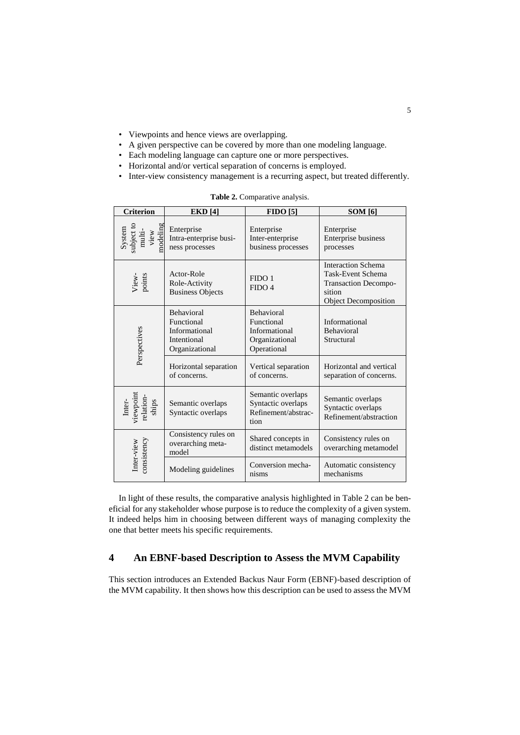- Viewpoints and hence views are overlapping.
- A given perspective can be covered by more than one modeling language.
- Each modeling language can capture one or more perspectives.
- Horizontal and/or vertical separation of concerns is employed.
- Inter-view consistency management is a recurring aspect, but treated differently.

| <b>Criterion</b>                                           | <b>EKD</b> [4]                                                                    | FIDO [5]                                                                          | <b>SOM</b> [6]                                                                                                                |
|------------------------------------------------------------|-----------------------------------------------------------------------------------|-----------------------------------------------------------------------------------|-------------------------------------------------------------------------------------------------------------------------------|
| System<br>subject to<br>multi-<br>view<br>view<br>modeling | Enterprise<br>Intra-enterprise busi-<br>ness processes                            | Enterprise<br>Inter-enterprise<br>business processes                              | Enterprise<br>Enterprise business<br>processes                                                                                |
| View-<br>points                                            | Actor-Role<br>Role-Activity<br><b>Business Objects</b>                            | FIDO 1<br>FIDO 4                                                                  | <b>Interaction Schema</b><br><b>Task-Event Schema</b><br><b>Transaction Decompo-</b><br>sition<br><b>Object Decomposition</b> |
| Perspectives                                               | <b>Behavioral</b><br>Functional<br>Informational<br>Intentional<br>Organizational | <b>Behavioral</b><br>Functional<br>Informational<br>Organizational<br>Operational | Informational<br><b>Behavioral</b><br>Structural                                                                              |
|                                                            | Horizontal separation<br>of concerns.                                             | Vertical separation<br>of concerns.                                               | Horizontal and vertical<br>separation of concerns.                                                                            |
| iewpoint<br>relation-<br>ships                             | Semantic overlaps<br>Syntactic overlaps                                           | Semantic overlaps<br>Syntactic overlaps<br>Refinement/abstrac-<br>tion            | Semantic overlaps<br>Syntactic overlaps<br>Refinement/abstraction                                                             |
| Inter-view<br>consistency                                  | Consistency rules on<br>overarching meta-<br>model                                | Shared concepts in<br>distinct metamodels                                         | Consistency rules on<br>overarching metamodel                                                                                 |
|                                                            | Modeling guidelines                                                               | Conversion mecha-<br>nisms                                                        | Automatic consistency<br>mechanisms                                                                                           |

**Table 2.** Comparative analysis.

In light of these results, the comparative analysis highlighted in Table 2 can be beneficial for any stakeholder whose purpose is to reduce the complexity of a given system. It indeed helps him in choosing between different ways of managing complexity the one that better meets his specific requirements.

# **4 An EBNF-based Description to Assess the MVM Capability**

This section introduces an Extended Backus Naur Form (EBNF)-based description of the MVM capability. It then shows how this description can be used to assess the MVM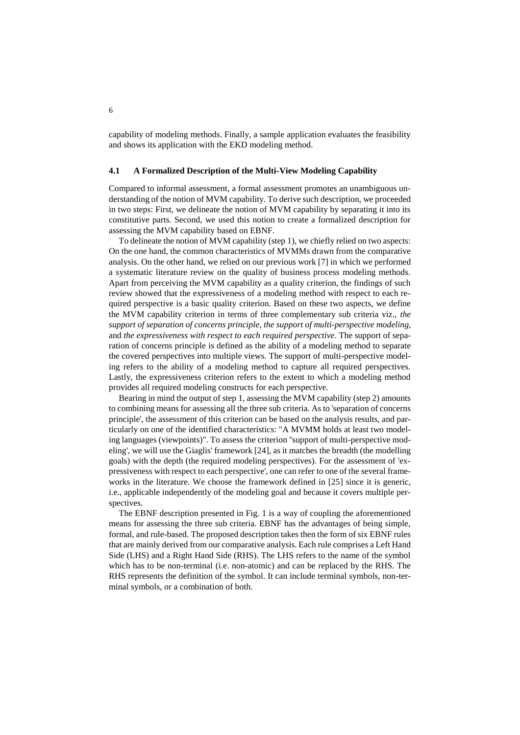capability of modeling methods. Finally, a sample application evaluates the feasibility and shows its application with the EKD modeling method.

#### **4.1 A Formalized Description of the Multi-View Modeling Capability**

Compared to informal assessment, a formal assessment promotes an unambiguous understanding of the notion of MVM capability. To derive such description, we proceeded in two steps: First, we delineate the notion of MVM capability by separating it into its constitutive parts. Second, we used this notion to create a formalized description for assessing the MVM capability based on EBNF.

To delineate the notion of MVM capability (step 1), we chiefly relied on two aspects: On the one hand, the common characteristics of MVMMs drawn from the comparative analysis. On the other hand, we relied on our previous work [7] in which we performed a systematic literature review on the quality of business process modeling methods. Apart from perceiving the MVM capability as a quality criterion, the findings of such review showed that the expressiveness of a modeling method with respect to each required perspective is a basic quality criterion. Based on these two aspects, we define the MVM capability criterion in terms of three complementary sub criteria viz., *the support of separation of concerns principle*, *the support of multi-perspective modeling*, and *the expressiveness with respect to each required perspective*. The support of separation of concerns principle is defined as the ability of a modeling method to separate the covered perspectives into multiple views. The support of multi-perspective modeling refers to the ability of a modeling method to capture all required perspectives. Lastly, the expressiveness criterion refers to the extent to which a modeling method provides all required modeling constructs for each perspective.

Bearing in mind the output of step 1, assessing the MVM capability (step 2) amounts to combining means for assessing all the three sub criteria. As to 'separation of concerns principle', the assessment of this criterion can be based on the analysis results, and particularly on one of the identified characteristics: "A MVMM holds at least two modeling languages (viewpoints)". To assess the criterion ''support of multi-perspective modeling', we will use the Giaglis' framework [24], as it matches the breadth (the modelling goals) with the depth (the required modeling perspectives). For the assessment of 'expressiveness with respect to each perspective', one can refer to one of the several frameworks in the literature. We choose the framework defined in [25] since it is generic, i.e., applicable independently of the modeling goal and because it covers multiple perspectives.

The EBNF description presented in Fig. 1 is a way of coupling the aforementioned means for assessing the three sub criteria. EBNF has the advantages of being simple, formal, and rule-based. The proposed description takes then the form of six EBNF rules that are mainly derived from our comparative analysis. Each rule comprises a Left Hand Side (LHS) and a Right Hand Side (RHS). The LHS refers to the name of the symbol which has to be non-terminal (i.e. non-atomic) and can be replaced by the RHS. The RHS represents the definition of the symbol. It can include terminal symbols, non-terminal symbols, or a combination of both.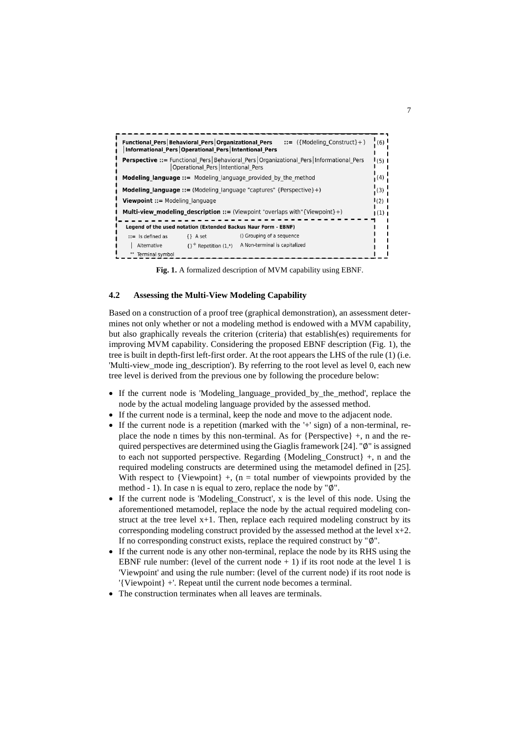| Functional_Pers   Behavioral_Pers   Organizational_Pers<br>Informational_Pers   Operational_Pers   Intentional_Pers                |                             | $ ::=$ ({Modeling Construct}+) | (6) |  |
|------------------------------------------------------------------------------------------------------------------------------------|-----------------------------|--------------------------------|-----|--|
| <b>Perspective ::=</b> Functional Pers Behavioral Pers Organizational Pers Informational Pers<br>Operational Pers Intentional Pers |                             |                                |     |  |
| <b>Modeling language ::</b> Modeling language provided by the method                                                               |                             |                                |     |  |
| <b>Modeling language ::=</b> (Modeling language "captures" {Perspective} +)                                                        |                             |                                |     |  |
| <b>Viewpoint ::= Modeling language</b>                                                                                             |                             |                                |     |  |
| <b>Multi-view modeling description ::=</b> (Viewpoint "overlaps with"{Viewpoint}+)                                                 |                             |                                |     |  |
| Legend of the used notation (Extended Backus Naur Form - EBNF)                                                                     |                             |                                |     |  |
| $ ::=$ is defined as                                                                                                               | $\{\}$ A set                | () Grouping of a sequence      |     |  |
| Alternative                                                                                                                        | $\{\}^+$ Repetition $(1,*)$ | A Non-terminal is capitalized  |     |  |
| "" Terminal symbol                                                                                                                 |                             |                                |     |  |

**Fig. 1.** A formalized description of MVM capability using EBNF.

#### **4.2 Assessing the Multi-View Modeling Capability**

Based on a construction of a proof tree (graphical demonstration), an assessment determines not only whether or not a modeling method is endowed with a MVM capability, but also graphically reveals the criterion (criteria) that establish(es) requirements for improving MVM capability. Considering the proposed EBNF description (Fig. 1), the tree is built in depth-first left-first order. At the root appears the LHS of the rule (1) (i.e. 'Multi-view\_mode ing\_description'). By referring to the root level as level 0, each new tree level is derived from the previous one by following the procedure below:

- If the current node is 'Modeling\_language\_provided\_by\_the\_method', replace the node by the actual modeling language provided by the assessed method.
- If the current node is a terminal, keep the node and move to the adjacent node.
- If the current node is a repetition (marked with the '+' sign) of a non-terminal, replace the node n times by this non-terminal. As for {Perspective}  $+$ , n and the required perspectives are determined using the Giaglis framework [24]. "∅" is assigned to each not supported perspective. Regarding {Modeling Construct}  $+$ , n and the required modeling constructs are determined using the metamodel defined in [25]. With respect to {Viewpoint} +, (n = total number of viewpoints provided by the method - 1). In case n is equal to zero, replace the node by "∅".
- If the current node is 'Modeling\_Construct',  $x$  is the level of this node. Using the aforementioned metamodel, replace the node by the actual required modeling construct at the tree level x+1. Then, replace each required modeling construct by its corresponding modeling construct provided by the assessed method at the level x+2. If no corresponding construct exists, replace the required construct by "∅".
- If the current node is any other non-terminal, replace the node by its RHS using the EBNF rule number: (level of the current node  $+1$ ) if its root node at the level 1 is 'Viewpoint' and using the rule number: (level of the current node) if its root node is '{Viewpoint} +'. Repeat until the current node becomes a terminal.
- The construction terminates when all leaves are terminals.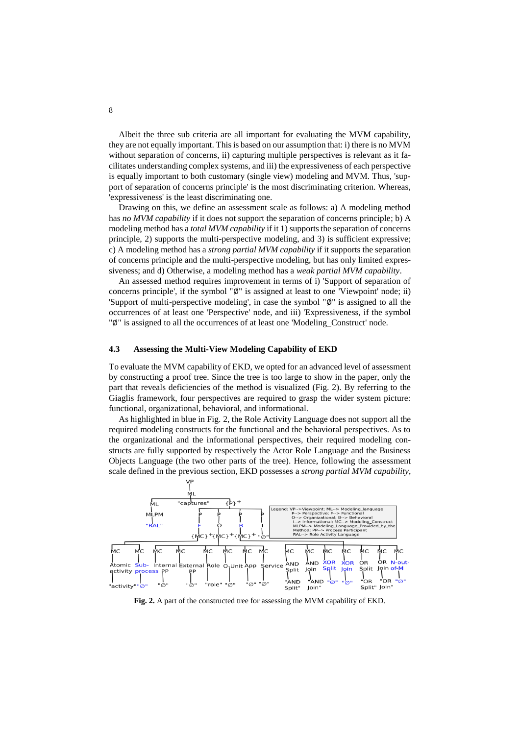Albeit the three sub criteria are all important for evaluating the MVM capability, they are not equally important. This is based on our assumption that: i) there is no MVM without separation of concerns, ii) capturing multiple perspectives is relevant as it facilitates understanding complex systems, and iii) the expressiveness of each perspective is equally important to both customary (single view) modeling and MVM. Thus, 'support of separation of concerns principle' is the most discriminating criterion. Whereas, 'expressiveness' is the least discriminating one.

Drawing on this, we define an assessment scale as follows: a) A modeling method has *no MVM capability* if it does not support the separation of concerns principle; b) A modeling method has a *total MVM capability* if it 1) supports the separation of concerns principle, 2) supports the multi-perspective modeling, and 3) is sufficient expressive; c) A modeling method has a *strong partial MVM capability* if it supports the separation of concerns principle and the multi-perspective modeling, but has only limited expressiveness; and d) Otherwise, a modeling method has a *weak partial MVM capability*.

An assessed method requires improvement in terms of i) 'Support of separation of concerns principle', if the symbol "∅" is assigned at least to one 'Viewpoint' node; ii) 'Support of multi-perspective modeling', in case the symbol "∅" is assigned to all the occurrences of at least one 'Perspective' node, and iii) 'Expressiveness, if the symbol "∅" is assigned to all the occurrences of at least one 'Modeling\_Construct' node.

#### **4.3 Assessing the Multi-View Modeling Capability of EKD**

To evaluate the MVM capability of EKD, we opted for an advanced level of assessment by constructing a proof tree. Since the tree is too large to show in the paper, only the part that reveals deficiencies of the method is visualized (Fig. 2). By referring to the Giaglis framework, four perspectives are required to grasp the wider system picture: functional, organizational, behavioral, and informational.

As highlighted in blue in Fig. 2, the Role Activity Language does not support all the required modeling constructs for the functional and the behavioral perspectives. As to the organizational and the informational perspectives, their required modeling constructs are fully supported by respectively the Actor Role Language and the Business Objects Language (the two other parts of the tree). Hence, following the assessment scale defined in the previous section, EKD possesses a *strong partial MVM capability*,



**Fig. 2.** A part of the constructed tree for assessing the MVM capability of EKD.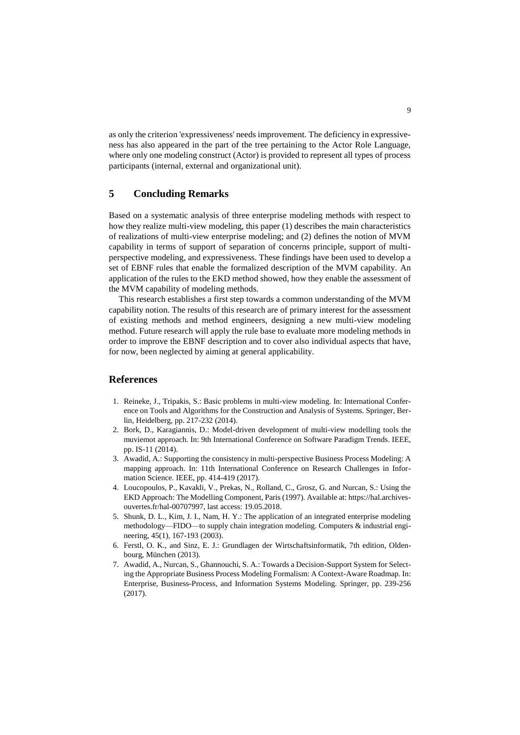as only the criterion 'expressiveness' needs improvement. The deficiency in expressiveness has also appeared in the part of the tree pertaining to the Actor Role Language, where only one modeling construct (Actor) is provided to represent all types of process participants (internal, external and organizational unit).

# **5 Concluding Remarks**

Based on a systematic analysis of three enterprise modeling methods with respect to how they realize multi-view modeling, this paper (1) describes the main characteristics of realizations of multi-view enterprise modeling; and (2) defines the notion of MVM capability in terms of support of separation of concerns principle, support of multiperspective modeling, and expressiveness. These findings have been used to develop a set of EBNF rules that enable the formalized description of the MVM capability. An application of the rules to the EKD method showed, how they enable the assessment of the MVM capability of modeling methods.

This research establishes a first step towards a common understanding of the MVM capability notion. The results of this research are of primary interest for the assessment of existing methods and method engineers, designing a new multi-view modeling method. Future research will apply the rule base to evaluate more modeling methods in order to improve the EBNF description and to cover also individual aspects that have, for now, been neglected by aiming at general applicability.

#### **References**

- 1. Reineke, J., Tripakis, S.: Basic problems in multi-view modeling. In: International Conference on Tools and Algorithms for the Construction and Analysis of Systems. Springer, Berlin, Heidelberg, pp. 217-232 (2014).
- 2. Bork, D., Karagiannis, D.: Model-driven development of multi-view modelling tools the muviemot approach. In: 9th International Conference on Software Paradigm Trends. IEEE, pp. IS-11 (2014).
- 3. Awadid, A.: Supporting the consistency in multi-perspective Business Process Modeling: A mapping approach. In: 11th International Conference on Research Challenges in Information Science. IEEE, pp. 414-419 (2017).
- 4. Loucopoulos, P., Kavakli, V., Prekas, N., Rolland, C., Grosz, G. and Nurcan, S.: Using the EKD Approach: The Modelling Component, Paris (1997). Available at: https://hal.archivesouvertes.fr/hal-00707997, last access: 19.05.2018.
- 5. Shunk, D. L., Kim, J. I., Nam, H. Y.: The application of an integrated enterprise modeling methodology—FIDO—to supply chain integration modeling. Computers & industrial engineering, 45(1), 167-193 (2003).
- 6. Ferstl, O. K., and Sinz, E. J.: Grundlagen der Wirtschaftsinformatik, 7th edition, Oldenbourg, München (2013).
- 7. Awadid, A., Nurcan, S., Ghannouchi, S. A.: Towards a Decision-Support System for Selecting the Appropriate Business Process Modeling Formalism: A Context-Aware Roadmap. In: Enterprise, Business-Process, and Information Systems Modeling. Springer, pp. 239-256 (2017).